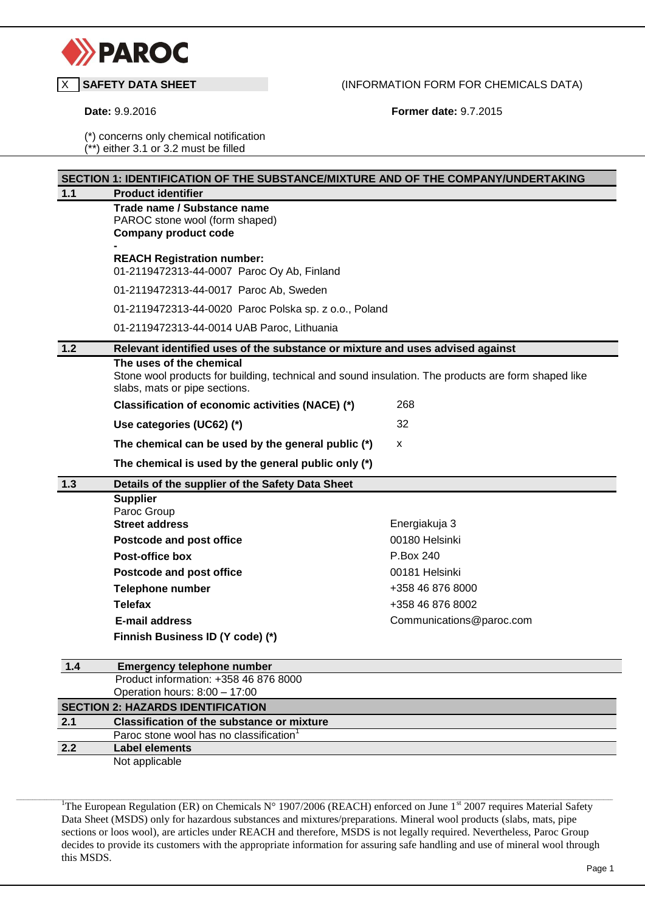

## X **SAFETY DATA SHEET** (INFORMATION FORM FOR CHEMICALS DATA)

**Date:** 9.9.2016 **Former date:** 9.7.2015

(\*) concerns only chemical notification (\*\*) either 3.1 or 3.2 must be filled

| Trade name / Substance name<br>PAROC stone wool (form shaped)<br><b>Company product code</b><br><b>REACH Registration number:</b>                                |                                                                  |  |  |
|------------------------------------------------------------------------------------------------------------------------------------------------------------------|------------------------------------------------------------------|--|--|
|                                                                                                                                                                  |                                                                  |  |  |
|                                                                                                                                                                  |                                                                  |  |  |
| 01-2119472313-44-0007 Paroc Oy Ab, Finland                                                                                                                       |                                                                  |  |  |
| 01-2119472313-44-0017 Paroc Ab, Sweden                                                                                                                           |                                                                  |  |  |
| 01-2119472313-44-0020 Paroc Polska sp. z o.o., Poland                                                                                                            |                                                                  |  |  |
| 01-2119472313-44-0014 UAB Paroc, Lithuania                                                                                                                       |                                                                  |  |  |
| Relevant identified uses of the substance or mixture and uses advised against                                                                                    |                                                                  |  |  |
| The uses of the chemical<br>Stone wool products for building, technical and sound insulation. The products are form shaped like<br>slabs, mats or pipe sections. |                                                                  |  |  |
| Classification of economic activities (NACE) (*)                                                                                                                 | 268                                                              |  |  |
| Use categories (UC62) (*)                                                                                                                                        | 32                                                               |  |  |
| The chemical can be used by the general public (*)                                                                                                               | X                                                                |  |  |
| The chemical is used by the general public only (*)                                                                                                              |                                                                  |  |  |
| Details of the supplier of the Safety Data Sheet                                                                                                                 |                                                                  |  |  |
| <b>Supplier</b>                                                                                                                                                  |                                                                  |  |  |
|                                                                                                                                                                  | Energiakuja 3                                                    |  |  |
|                                                                                                                                                                  | 00180 Helsinki                                                   |  |  |
| <b>Post-office box</b>                                                                                                                                           | P.Box 240                                                        |  |  |
| Postcode and post office                                                                                                                                         | 00181 Helsinki                                                   |  |  |
| <b>Telephone number</b>                                                                                                                                          | +358 46 876 8000                                                 |  |  |
| <b>Telefax</b>                                                                                                                                                   | +358 46 876 8002                                                 |  |  |
| <b>E-mail address</b>                                                                                                                                            | Communications@paroc.com                                         |  |  |
| Finnish Business ID (Y code) (*)                                                                                                                                 |                                                                  |  |  |
| <b>Emergency telephone number</b>                                                                                                                                |                                                                  |  |  |
| Product information: +358 46 876 8000                                                                                                                            |                                                                  |  |  |
|                                                                                                                                                                  |                                                                  |  |  |
| Operation hours: 8:00 - 17:00                                                                                                                                    |                                                                  |  |  |
| <b>SECTION 2: HAZARDS IDENTIFICATION</b><br><b>Classification of the substance or mixture</b>                                                                    |                                                                  |  |  |
| Paroc stone wool has no classification <sup>1</sup>                                                                                                              |                                                                  |  |  |
|                                                                                                                                                                  | Paroc Group<br><b>Street address</b><br>Postcode and post office |  |  |

<sup>1</sup>The European Regulation (ER) on Chemicals N° 1907/2006 (REACH) enforced on June 1<sup>st</sup> 2007 requires Material Safety Data Sheet (MSDS) only for hazardous substances and mixtures/preparations. Mineral wool products (slabs, mats, pipe sections or loos wool), are articles under REACH and therefore, MSDS is not legally required. Nevertheless, Paroc Group decides to provide its customers with the appropriate information for assuring safe handling and use of mineral wool through this MSDS.

,我们也不能在这里的时候,我们也不能在这里,我们也不能在这里的时候,我们也不能在这里,我们也不能在这里的时候,我们也不能在这里的时候,我们也不能会不能在这里的时候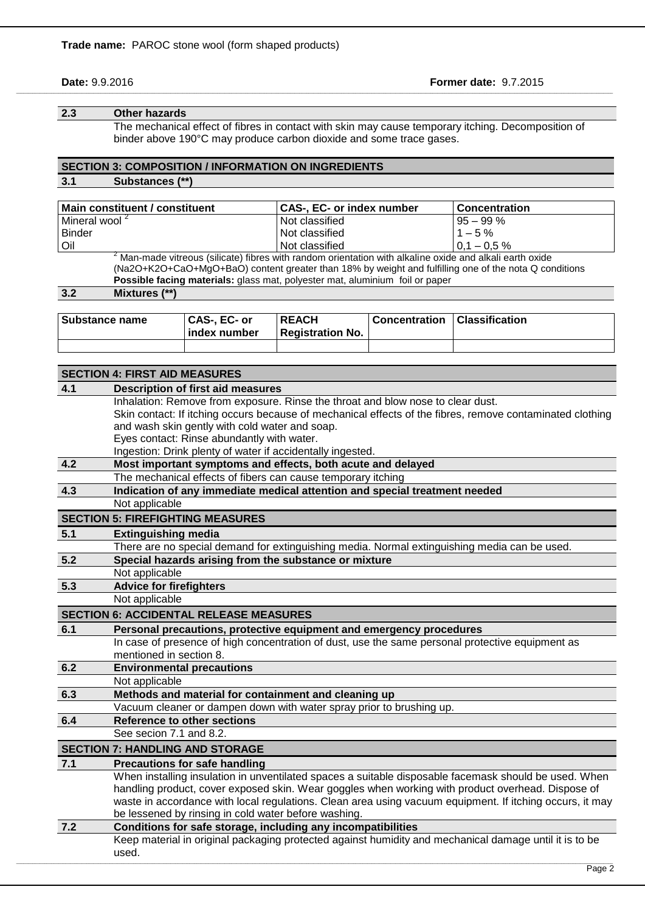#### **Date:** 9.9.2016 **Former date:** 9.7.2015

#### **2.3 Other hazards**

The mechanical effect of fibres in contact with skin may cause temporary itching. Decomposition of binder above 190°C may produce carbon dioxide and some trace gases.

\_\_\_\_\_\_\_\_\_\_\_\_\_\_\_\_\_\_\_\_\_\_\_\_\_\_\_\_\_\_\_\_\_\_\_\_\_\_\_\_\_\_\_\_\_\_\_\_\_\_\_\_\_\_\_\_\_\_\_\_\_\_\_\_\_\_\_\_\_\_\_\_\_\_\_\_\_\_\_\_\_\_\_\_\_\_\_\_\_\_\_\_\_\_\_\_\_\_\_\_\_\_\_\_\_\_\_\_\_\_\_\_\_\_\_\_\_\_\_\_\_\_\_\_\_\_\_\_\_\_\_\_\_\_\_\_\_\_\_\_\_\_\_\_\_\_\_\_\_\_\_\_\_\_\_\_\_\_\_\_\_\_\_\_\_\_\_\_\_\_\_\_\_\_\_\_\_\_\_\_\_\_\_\_\_\_\_\_\_\_\_\_\_\_\_\_\_\_\_\_\_\_\_\_\_\_\_\_\_\_\_\_\_\_\_\_\_\_\_\_\_\_\_\_\_\_\_\_\_\_\_\_\_\_\_\_\_\_\_\_\_\_\_\_\_\_\_\_\_\_\_\_\_\_\_

# **SECTION 3: COMPOSITION / INFORMATION ON INGREDIENTS**

## **3.1 Substances (\*\*)**

| Main constituent / constituent        |               |                                                                              | CAS-, EC- or index number |                       | Concentration                                                                                          |
|---------------------------------------|---------------|------------------------------------------------------------------------------|---------------------------|-----------------------|--------------------------------------------------------------------------------------------------------|
| Mineral wool <sup>2</sup>             |               | Not classified                                                               |                           | $95 - 99%$            |                                                                                                        |
| <b>Binder</b>                         |               | Not classified                                                               |                           | $1 - 5\%$             |                                                                                                        |
| Oil                                   |               | Not classified                                                               |                           | $0.1 - 0.5 \%$        |                                                                                                        |
|                                       |               |                                                                              |                           |                       | Man-made vitreous (silicate) fibres with random orientation with alkaline oxide and alkali earth oxide |
|                                       |               |                                                                              |                           |                       | (Na2O+K2O+CaO+MgO+BaO) content greater than 18% by weight and fulfilling one of the nota Q conditions  |
|                                       |               | Possible facing materials: glass mat, polyester mat, aluminium foil or paper |                           |                       |                                                                                                        |
| 3.2                                   | Mixtures (**) |                                                                              |                           |                       |                                                                                                        |
|                                       |               |                                                                              |                           |                       |                                                                                                        |
| CAS-, EC- or<br><b>Substance name</b> |               | <b>REACH</b>                                                                 | <b>Concentration</b>      | <b>Classification</b> |                                                                                                        |
|                                       |               | _                                                                            |                           |                       |                                                                                                        |

|                                      | index number | <b>Registration No.</b> |  |  |
|--------------------------------------|--------------|-------------------------|--|--|
|                                      |              |                         |  |  |
|                                      |              |                         |  |  |
| <b>SECTION 4: FIRST AID MEASURES</b> |              |                         |  |  |

| 4.1                                                                        | <b>Description of first aid measures</b>                                                                  |
|----------------------------------------------------------------------------|-----------------------------------------------------------------------------------------------------------|
|                                                                            | Inhalation: Remove from exposure. Rinse the throat and blow nose to clear dust.                           |
|                                                                            | Skin contact: If itching occurs because of mechanical effects of the fibres, remove contaminated clothing |
|                                                                            | and wash skin gently with cold water and soap.                                                            |
|                                                                            | Eyes contact: Rinse abundantly with water.                                                                |
|                                                                            | Ingestion: Drink plenty of water if accidentally ingested.                                                |
| 4.2                                                                        | Most important symptoms and effects, both acute and delayed                                               |
|                                                                            | The mechanical effects of fibers can cause temporary itching                                              |
| 4.3                                                                        | Indication of any immediate medical attention and special treatment needed                                |
|                                                                            | Not applicable                                                                                            |
|                                                                            | <b>SECTION 5: FIREFIGHTING MEASURES</b>                                                                   |
| 5.1                                                                        | <b>Extinguishing media</b>                                                                                |
|                                                                            | There are no special demand for extinguishing media. Normal extinguishing media can be used.              |
| 5.2                                                                        | Special hazards arising from the substance or mixture                                                     |
|                                                                            | Not applicable                                                                                            |
| 5.3                                                                        | <b>Advice for firefighters</b>                                                                            |
|                                                                            | Not applicable                                                                                            |
|                                                                            | <b>SECTION 6: ACCIDENTAL RELEASE MEASURES</b>                                                             |
| 6.1<br>Personal precautions, protective equipment and emergency procedures |                                                                                                           |
|                                                                            | In case of presence of high concentration of dust, use the same personal protective equipment as          |
|                                                                            | mentioned in section 8.                                                                                   |
| 6.2                                                                        | <b>Environmental precautions</b>                                                                          |
|                                                                            | Not applicable                                                                                            |
| 6.3                                                                        | Methods and material for containment and cleaning up                                                      |
|                                                                            | Vacuum cleaner or dampen down with water spray prior to brushing up.                                      |
| 6.4                                                                        | <b>Reference to other sections</b>                                                                        |
|                                                                            | See secion 7.1 and 8.2.                                                                                   |
|                                                                            | <b>SECTION 7: HANDLING AND STORAGE</b>                                                                    |
| 7.1                                                                        | <b>Precautions for safe handling</b>                                                                      |
|                                                                            | When installing insulation in unventilated spaces a suitable disposable facemask should be used. When     |
|                                                                            | handling product, cover exposed skin. Wear goggles when working with product overhead. Dispose of         |
|                                                                            | waste in accordance with local regulations. Clean area using vacuum equipment. If itching occurs, it may  |
|                                                                            | be lessened by rinsing in cold water before washing.                                                      |
| 7.2                                                                        | Conditions for safe storage, including any incompatibilities                                              |
|                                                                            | Keep material in original packaging protected against humidity and mechanical damage until it is to be    |
|                                                                            |                                                                                                           |
|                                                                            | used.                                                                                                     |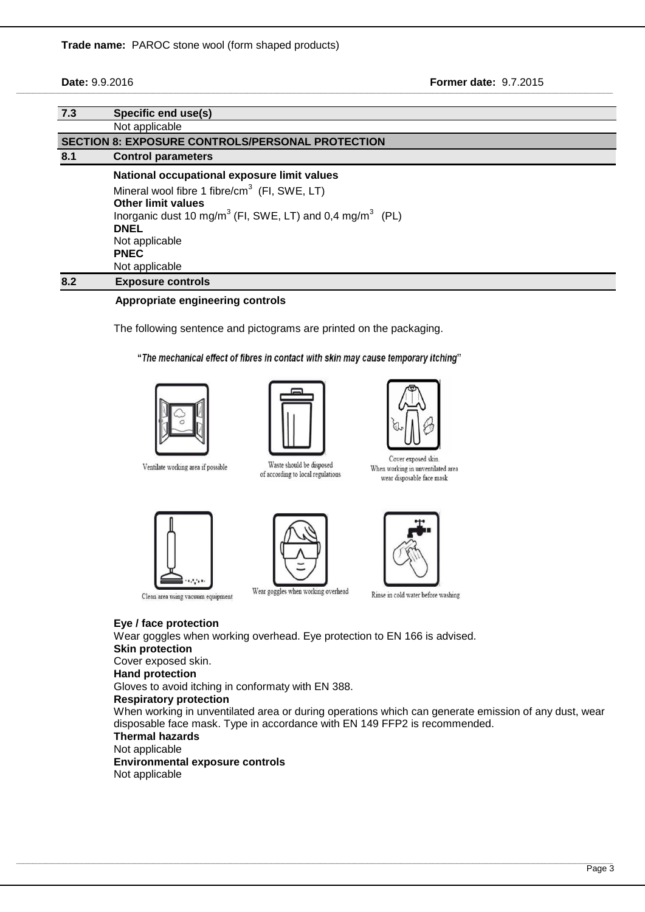**Date:** 9.9.2016 **Former date:** 9.7.2015

| 7.3 | Specific end use(s)                                                              |
|-----|----------------------------------------------------------------------------------|
|     | Not applicable                                                                   |
|     | <b>SECTION 8: EXPOSURE CONTROLS/PERSONAL PROTECTION</b>                          |
| 8.1 | <b>Control parameters</b>                                                        |
|     | National occupational exposure limit values                                      |
|     | Mineral wool fibre 1 fibre/ $cm3$ (FI, SWE, LT)                                  |
|     | <b>Other limit values</b>                                                        |
|     | Inorganic dust 10 mg/m <sup>3</sup> (FI, SWE, LT) and 0,4 mg/m <sup>3</sup> (PL) |
|     | <b>DNEL</b>                                                                      |
|     | Not applicable                                                                   |
|     | <b>PNEC</b>                                                                      |
|     | Not applicable                                                                   |
| 8.2 | <b>Exposure controls</b>                                                         |

\_\_\_\_\_\_\_\_\_\_\_\_\_\_\_\_\_\_\_\_\_\_\_\_\_\_\_\_\_\_\_\_\_\_\_\_\_\_\_\_\_\_\_\_\_\_\_\_\_\_\_\_\_\_\_\_\_\_\_\_\_\_\_\_\_\_\_\_\_\_\_\_\_\_\_\_\_\_\_\_\_\_\_\_\_\_\_\_\_\_\_\_\_\_\_\_\_\_\_\_\_\_\_\_\_\_\_\_\_\_\_\_\_\_\_\_\_\_\_\_\_\_\_\_\_\_\_\_\_\_\_\_\_\_\_\_\_\_\_\_\_\_\_\_\_\_\_\_\_\_\_\_\_\_\_\_\_\_\_\_\_\_\_\_\_\_\_\_\_\_\_\_\_\_\_\_\_\_\_\_\_\_\_\_\_\_\_\_\_\_\_\_\_\_\_\_\_\_\_\_\_\_\_\_\_\_\_\_\_\_\_\_\_\_\_\_\_\_\_\_\_\_\_\_\_\_\_\_\_\_\_\_\_\_\_\_\_\_\_\_\_\_\_\_\_\_\_\_\_\_\_\_\_\_\_

#### **Appropriate engineering controls**

The following sentence and pictograms are printed on the packaging.

"The mechanical effect of fibres in contact with skin may cause temporary itching"



Ventilate working area if possible



Waste should be disposed

of according to local regulations



Cover exposed skin When working in unventilated area wear disposable face mask







Clean area using vacuum equipment

Rinse in cold water before washing

#### **Eye / face protection**

Wear goggles when working overhead. Eye protection to EN 166 is advised. **Skin protection** Cover exposed skin. **Hand protection** Gloves to avoid itching in conformaty with EN 388.

## **Respiratory protection**

When working in unventilated area or during operations which can generate emission of any dust, wear disposable face mask. Type in accordance with EN 149 FFP2 is recommended.

#### **Thermal hazards**

Not applicable

## **Environmental exposure controls**

Not applicable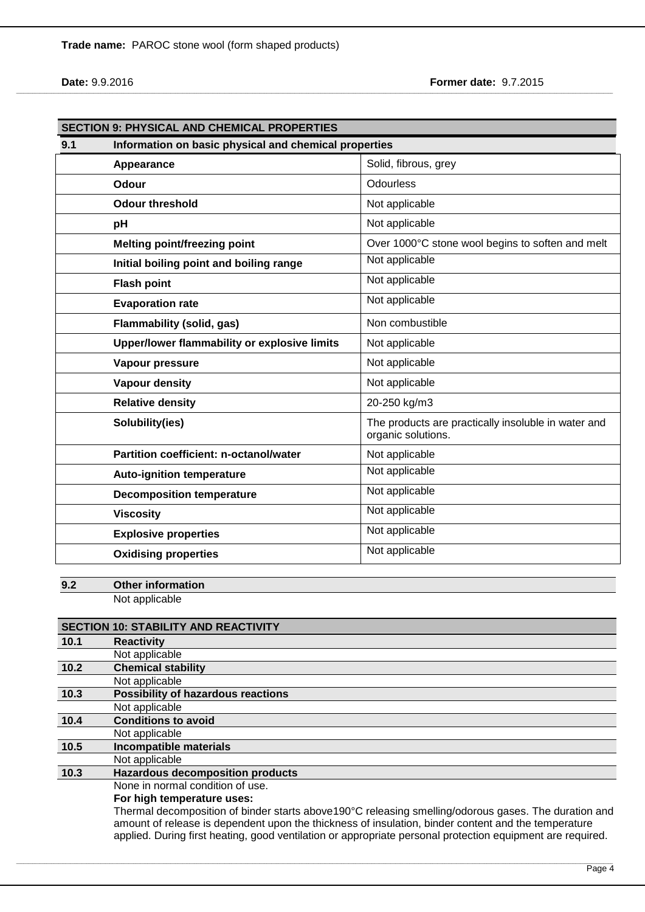**Trade name:** PAROC stone wool (form shaped products)

**Date:** 9.9.2016 **Former date:** 9.7.2015

|     | <b>SECTION 9: PHYSICAL AND CHEMICAL PROPERTIES</b>    |                                                                           |  |
|-----|-------------------------------------------------------|---------------------------------------------------------------------------|--|
| 9.1 | Information on basic physical and chemical properties |                                                                           |  |
|     | Appearance                                            | Solid, fibrous, grey                                                      |  |
|     | Odour                                                 | Odourless                                                                 |  |
|     | <b>Odour threshold</b>                                | Not applicable                                                            |  |
|     | pH                                                    | Not applicable                                                            |  |
|     | <b>Melting point/freezing point</b>                   | Over 1000°C stone wool begins to soften and melt                          |  |
|     | Initial boiling point and boiling range               | Not applicable                                                            |  |
|     | <b>Flash point</b>                                    | Not applicable                                                            |  |
|     | <b>Evaporation rate</b>                               | Not applicable                                                            |  |
|     | <b>Flammability (solid, gas)</b>                      | Non combustible                                                           |  |
|     | Upper/lower flammability or explosive limits          | Not applicable                                                            |  |
|     | Vapour pressure                                       | Not applicable                                                            |  |
|     | <b>Vapour density</b>                                 | Not applicable                                                            |  |
|     | <b>Relative density</b>                               | 20-250 kg/m3                                                              |  |
|     | Solubility(ies)                                       | The products are practically insoluble in water and<br>organic solutions. |  |
|     | <b>Partition coefficient: n-octanol/water</b>         | Not applicable                                                            |  |
|     | <b>Auto-ignition temperature</b>                      | Not applicable                                                            |  |
|     | <b>Decomposition temperature</b>                      | Not applicable                                                            |  |
|     | <b>Viscosity</b>                                      | Not applicable                                                            |  |
|     | <b>Explosive properties</b>                           | Not applicable                                                            |  |
|     | <b>Oxidising properties</b>                           | Not applicable                                                            |  |

\_\_\_\_\_\_\_\_\_\_\_\_\_\_\_\_\_\_\_\_\_\_\_\_\_\_\_\_\_\_\_\_\_\_\_\_\_\_\_\_\_\_\_\_\_\_\_\_\_\_\_\_\_\_\_\_\_\_\_\_\_\_\_\_\_\_\_\_\_\_\_\_\_\_\_\_\_\_\_\_\_\_\_\_\_\_\_\_\_\_\_\_\_\_\_\_\_\_\_\_\_\_\_\_\_\_\_\_\_\_\_\_\_\_\_\_\_\_\_\_\_\_\_\_\_\_\_\_\_\_\_\_\_\_\_\_\_\_\_\_\_\_\_\_\_\_\_\_\_\_\_\_\_\_\_\_\_\_\_\_\_\_\_\_\_\_\_\_\_\_\_\_\_\_\_\_\_\_\_\_\_\_\_\_\_\_\_\_\_\_\_\_\_\_\_\_\_\_\_\_\_\_\_\_\_\_\_\_\_\_\_\_\_\_\_\_\_\_\_\_\_\_\_\_\_\_\_\_\_\_\_\_\_\_\_\_\_\_\_\_\_\_\_\_\_\_\_\_\_\_\_\_\_\_\_

**9.2 Other information** Not applicable

|        | <b>SECTION 10: STABILITY AND REACTIVITY</b>                                                           |
|--------|-------------------------------------------------------------------------------------------------------|
| 10.1   | <b>Reactivity</b>                                                                                     |
|        | Not applicable                                                                                        |
| $10.2$ | <b>Chemical stability</b>                                                                             |
|        | Not applicable                                                                                        |
| 10.3   | <b>Possibility of hazardous reactions</b>                                                             |
|        | Not applicable                                                                                        |
| 10.4   | <b>Conditions to avoid</b>                                                                            |
|        | Not applicable                                                                                        |
| 10.5   | Incompatible materials                                                                                |
|        | Not applicable                                                                                        |
| 10.3   | <b>Hazardous decomposition products</b>                                                               |
|        | None in normal condition of use.                                                                      |
|        | For high temperature uses:                                                                            |
|        | Thermal decomposition of binder starts above 190°C releasing smelling/odorous gases. The duration and |
|        | amount of release is dependent upon the thickness of insulation, binder content and the temperature   |

applied. During first heating, good ventilation or appropriate personal protection equipment are required.

,我们也不能在这里的时候,我们也不能在这里,我们也不能在这里的时候,我们也不能在这里,我们也不能在这里的时候,我们也不能在这里的时候,我们也不能会不能在这里的时候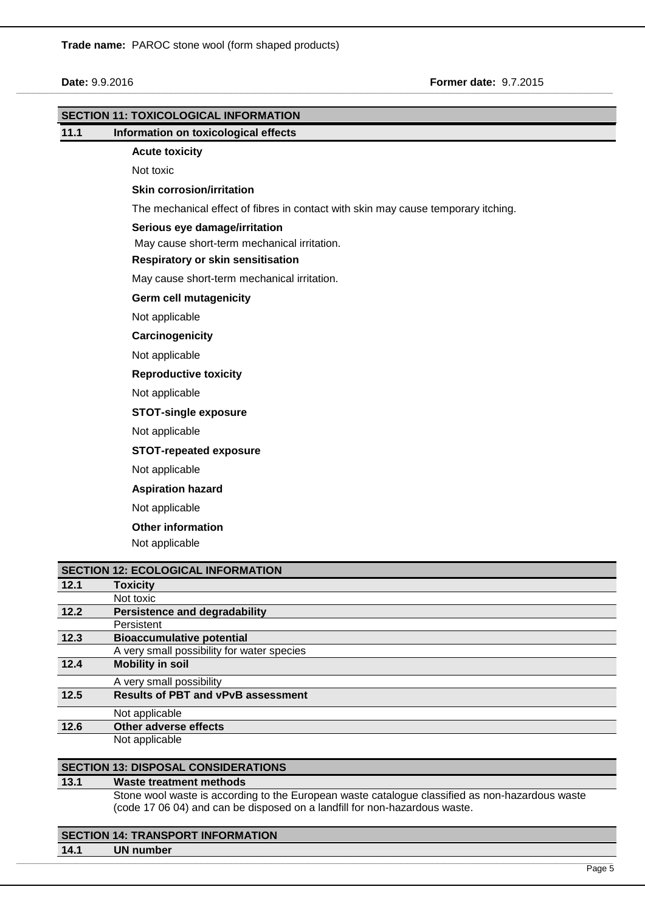|      | <b>SECTION 11: TOXICOLOGICAL INFORMATION</b>                                      |
|------|-----------------------------------------------------------------------------------|
| 11.1 | Information on toxicological effects                                              |
|      | <b>Acute toxicity</b>                                                             |
|      | Not toxic                                                                         |
|      | <b>Skin corrosion/irritation</b>                                                  |
|      | The mechanical effect of fibres in contact with skin may cause temporary itching. |
|      | Serious eye damage/irritation                                                     |
|      | May cause short-term mechanical irritation.                                       |
|      | Respiratory or skin sensitisation                                                 |
|      | May cause short-term mechanical irritation.                                       |
|      | <b>Germ cell mutagenicity</b>                                                     |
|      | Not applicable                                                                    |
|      | Carcinogenicity                                                                   |
|      | Not applicable                                                                    |
|      | <b>Reproductive toxicity</b>                                                      |
|      | Not applicable                                                                    |
|      | <b>STOT-single exposure</b>                                                       |
|      | Not applicable                                                                    |
|      | <b>STOT-repeated exposure</b>                                                     |
|      | Not applicable                                                                    |
|      | <b>Aspiration hazard</b>                                                          |
|      | Not applicable                                                                    |
|      | <b>Other information</b>                                                          |
|      | Not applicable                                                                    |
|      |                                                                                   |
|      | <b>SECTION 12: ECOLOGICAL INFORMATION</b>                                         |
| 12.1 | <b>Toxicity</b>                                                                   |
| 12.2 | Not toxic<br><b>Persistence and degradability</b>                                 |
|      | Persistent                                                                        |
| 12.3 | <b>Bioaccumulative potential</b>                                                  |
|      | A very small possibility for water species                                        |
| 12.4 | <b>Mobility in soil</b>                                                           |
|      | A very small possibility                                                          |
| 12.5 | <b>Results of PBT and vPvB assessment</b>                                         |

\_\_\_\_\_\_\_\_\_\_\_\_\_\_\_\_\_\_\_\_\_\_\_\_\_\_\_\_\_\_\_\_\_\_\_\_\_\_\_\_\_\_\_\_\_\_\_\_\_\_\_\_\_\_\_\_\_\_\_\_\_\_\_\_\_\_\_\_\_\_\_\_\_\_\_\_\_\_\_\_\_\_\_\_\_\_\_\_\_\_\_\_\_\_\_\_\_\_\_\_\_\_\_\_\_\_\_\_\_\_\_\_\_\_\_\_\_\_\_\_\_\_\_\_\_\_\_\_\_\_\_\_\_\_\_\_\_\_\_\_\_\_\_\_\_\_\_\_\_\_\_\_\_\_\_\_\_\_\_\_\_\_\_\_\_\_\_\_\_\_\_\_\_\_\_\_\_\_\_\_\_\_\_\_\_\_\_\_\_\_\_\_\_\_\_\_\_\_\_\_\_\_\_\_\_\_\_\_\_\_\_\_\_\_\_\_\_\_\_\_\_\_\_\_\_\_\_\_\_\_\_\_\_\_\_\_\_\_\_\_\_\_\_\_\_\_\_\_\_\_\_\_\_\_\_

**12.6 Other adverse effects**  Not applicable

Not applicable

**SECTION 13: DISPOSAL CONSIDERATIONS**

#### **13.1 Waste treatment methods**

Stone wool waste is according to the European waste catalogue classified as non-hazardous waste (code 17 06 04) and can be disposed on a landfill for non-hazardous waste.

,我们也不能在这里的时候,我们也不能在这里,我们也不能在这里的时候,我们也不能在这里,我们也不能在这里的时候,我们也不能在这里的时候,我们也不能会不能在这里的时候

## **SECTION 14: TRANSPORT INFORMATION**

**14.1 UN number**